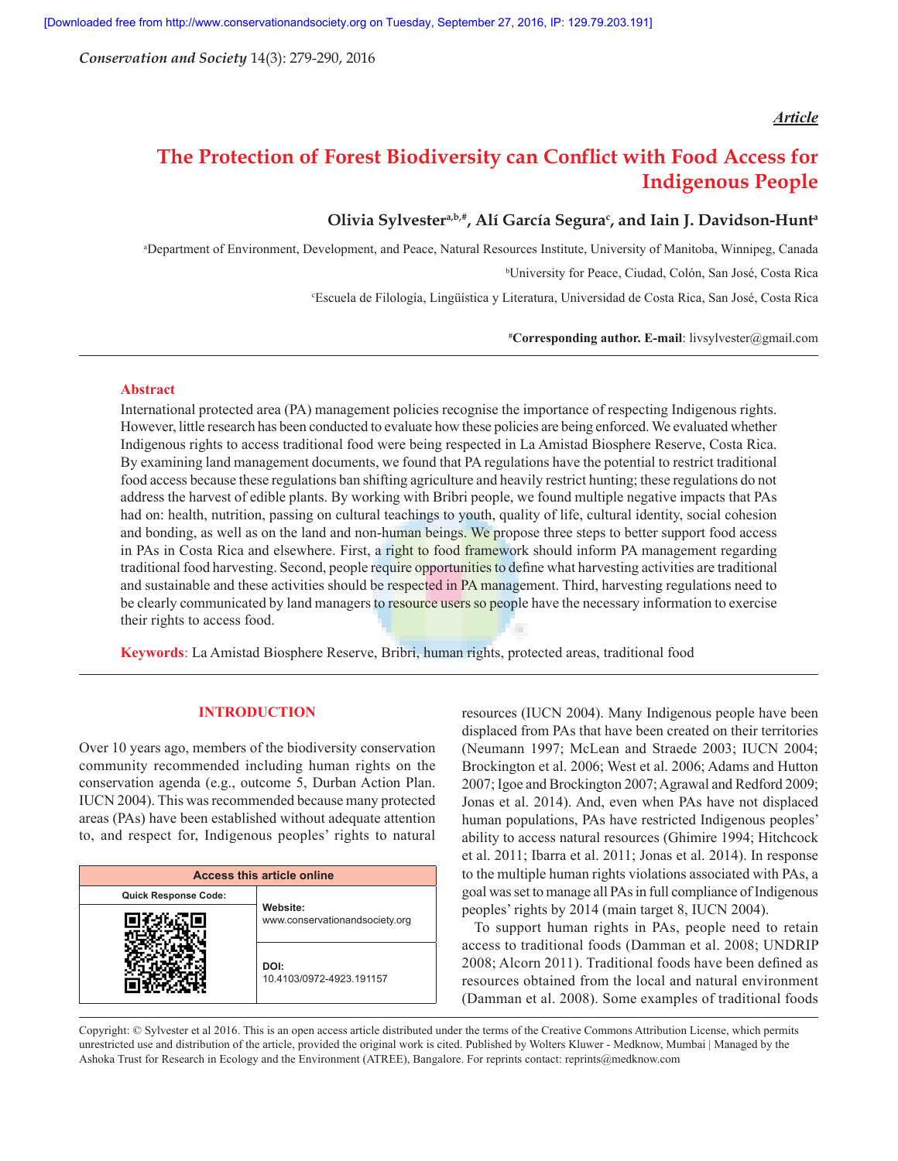*Conservation and Society* 14(3): 279-290, 2016

## *Article*

# **The Protection of Forest Biodiversity can Conflict with Food Access for Indigenous People**

# **Olivia Sylvestera,b,#, Alí García Segurac , and Iain J. Davidson-Hunta**

a Department of Environment, Development, and Peace, Natural Resources Institute, University of Manitoba, Winnipeg, Canada

b University for Peace, Ciudad, Colón, San José, Costa Rica

c Escuela de Filología, Lingüística y Literatura, Universidad de Costa Rica, San José, Costa Rica

**# Corresponding author. E-mail**: livsylvester@gmail.com

## **Abstract**

International protected area (PA) management policies recognise the importance of respecting Indigenous rights. However, little research has been conducted to evaluate how these policies are being enforced. We evaluated whether Indigenous rights to access traditional food were being respected in La Amistad Biosphere Reserve, Costa Rica. By examining land management documents, we found that PA regulations have the potential to restrict traditional food access because these regulations ban shifting agriculture and heavily restrict hunting; these regulations do not address the harvest of edible plants. By working with Bribri people, we found multiple negative impacts that PAs had on: health, nutrition, passing on cultural teachings to youth, quality of life, cultural identity, social cohesion and bonding, as well as on the land and non-human beings. We propose three steps to better support food access in PAs in Costa Rica and elsewhere. First, a right to food framework should inform PA management regarding traditional food harvesting. Second, people require opportunities to define what harvesting activities are traditional and sustainable and these activities should be respected in PA management. Third, harvesting regulations need to be clearly communicated by land managers to resource users so people have the necessary information to exercise their rights to access food.

**Keywords**: La Amistad Biosphere Reserve, Bribri, human rights, protected areas, traditional food

## **INTRODUCTION**

Over 10 years ago, members of the biodiversity conservation community recommended including human rights on the conservation agenda (e.g., outcome 5, Durban Action Plan. IUCN 2004). This was recommended because many protected areas (PAs) have been established without adequate attention to, and respect for, Indigenous peoples' rights to natural

| <b>Access this article online</b> |                                            |  |  |  |
|-----------------------------------|--------------------------------------------|--|--|--|
| <b>Quick Response Code:</b>       |                                            |  |  |  |
|                                   | Website:<br>www.conservationandsociety.org |  |  |  |
|                                   | DOI:<br>10.4103/0972-4923.191157           |  |  |  |

resources (IUCN 2004). Many Indigenous people have been displaced from PAs that have been created on their territories (Neumann 1997; McLean and Straede 2003; IUCN 2004; Brockington et al. 2006; West et al. 2006; Adams and Hutton 2007; Igoe and Brockington 2007; Agrawal and Redford 2009; Jonas et al. 2014). And, even when PAs have not displaced human populations, PAs have restricted Indigenous peoples' ability to access natural resources (Ghimire 1994; Hitchcock et al. 2011; Ibarra et al. 2011; Jonas et al. 2014). In response to the multiple human rights violations associated with PAs, a goal was set to manage all PAs in full compliance of Indigenous peoples' rights by 2014 (main target 8, IUCN 2004).

To support human rights in PAs, people need to retain access to traditional foods (Damman et al. 2008; UNDRIP 2008; Alcorn 2011). Traditional foods have been defined as resources obtained from the local and natural environment (Damman et al. 2008). Some examples of traditional foods

Copyright: © Sylvester et al 2016. This is an open access article distributed under the terms of the Creative Commons Attribution License, which permits unrestricted use and distribution of the article, provided the original work is cited. Published by Wolters Kluwer - Medknow, Mumbai | Managed by the Ashoka Trust for Research in Ecology and the Environment (ATREE), Bangalore. For reprints contact: reprints@medknow.com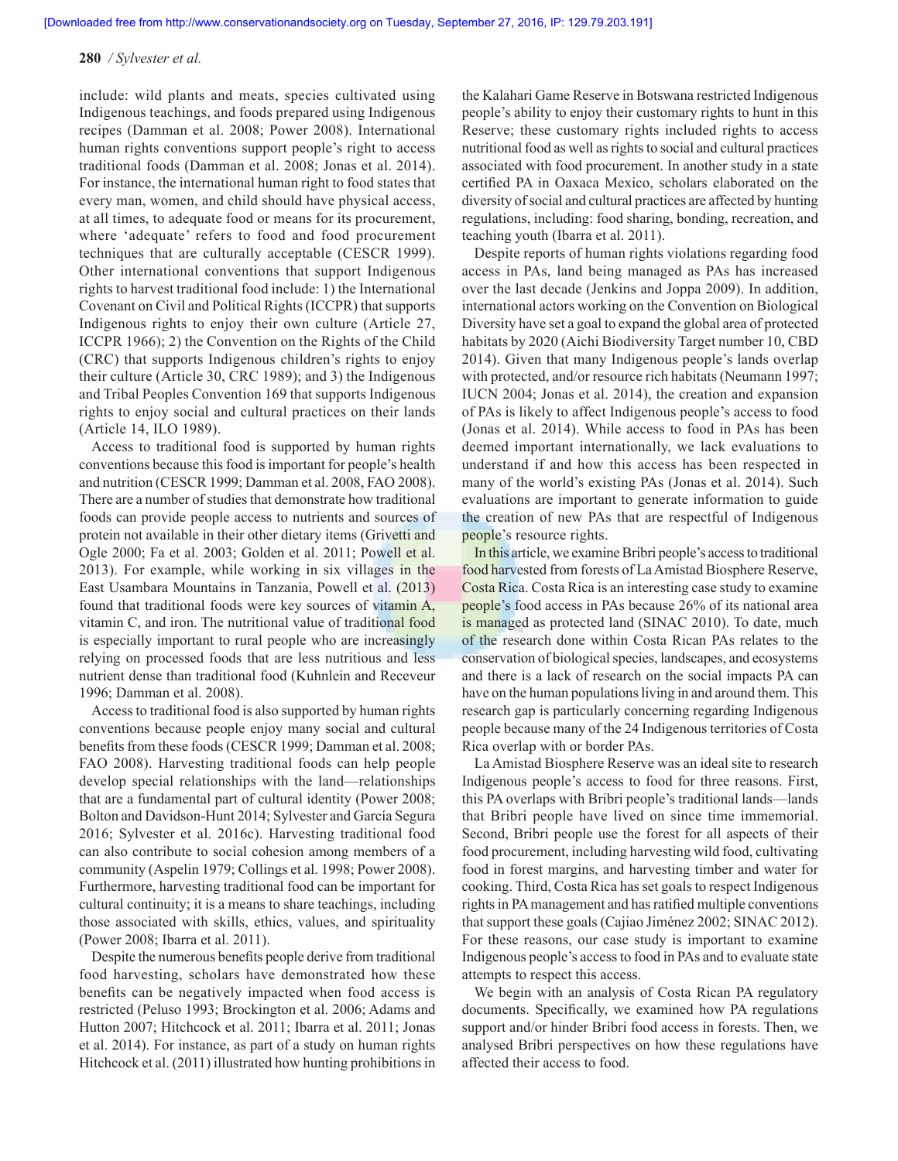include: wild plants and meats, species cultivated using Indigenous teachings, and foods prepared using Indigenous recipes (Damman et al. 2008; Power 2008). International human rights conventions support people's right to access traditional foods (Damman et al. 2008; Jonas et al. 2014). For instance, the international human right to food states that every man, women, and child should have physical access, at all times, to adequate food or means for its procurement, where 'adequate' refers to food and food procurement techniques that are culturally acceptable (CESCR 1999). Other international conventions that support Indigenous rights to harvest traditional food include: 1) the International Covenant on Civil and Political Rights (ICCPR) that supports Indigenous rights to enjoy their own culture (Article 27, ICCPR 1966); 2) the Convention on the Rights of the Child (CRC) that supports Indigenous children's rights to enjoy their culture (Article 30, CRC 1989); and 3) the Indigenous and Tribal Peoples Convention 169 that supports Indigenous rights to enjoy social and cultural practices on their lands (Article 14, ILO 1989).

Access to traditional food is supported by human rights conventions because this food is important for people's health and nutrition (CESCR 1999; Damman et al. 2008, FAO 2008). There are a number of studies that demonstrate how traditional foods can provide people access to nutrients and sources of protein not available in their other dietary items (Grivetti and Ogle 2000; Fa et al. 2003; Golden et al. 2011; Powell et al. 2013). For example, while working in six villages in the East Usambara Mountains in Tanzania, Powell et al. (2013) found that traditional foods were key sources of vitamin A, vitamin C, and iron. The nutritional value of traditional food is especially important to rural people who are increasingly relying on processed foods that are less nutritious and less nutrient dense than traditional food (Kuhnlein and Receveur 1996; Damman et al. 2008).

Access to traditional food is also supported by human rights conventions because people enjoy many social and cultural benefits from these foods (CESCR 1999; Damman et al. 2008; FAO 2008). Harvesting traditional foods can help people develop special relationships with the land—relationships that are a fundamental part of cultural identity (Power 2008; Bolton and Davidson-Hunt 2014; Sylvester and García Segura 2016; Sylvester et al. 2016c). Harvesting traditional food can also contribute to social cohesion among members of a community (Aspelin 1979; Collings et al. 1998; Power 2008). Furthermore, harvesting traditional food can be important for cultural continuity; it is a means to share teachings, including those associated with skills, ethics, values, and spirituality (Power 2008; Ibarra et al. 2011).

Despite the numerous benefits people derive from traditional food harvesting, scholars have demonstrated how these benefits can be negatively impacted when food access is restricted (Peluso 1993; Brockington et al. 2006; Adams and Hutton 2007; Hitchcock et al. 2011; Ibarra et al. 2011; Jonas et al. 2014). For instance, as part of a study on human rights Hitchcock et al. (2011) illustrated how hunting prohibitions in the Kalahari Game Reserve in Botswana restricted Indigenous people's ability to enjoy their customary rights to hunt in this Reserve; these customary rights included rights to access nutritional food as well as rights to social and cultural practices associated with food procurement. In another study in a state certified PA in Oaxaca Mexico, scholars elaborated on the diversity of social and cultural practices are affected by hunting regulations, including: food sharing, bonding, recreation, and teaching youth (Ibarra et al. 2011).

Despite reports of human rights violations regarding food access in PAs, land being managed as PAs has increased over the last decade (Jenkins and Joppa 2009). In addition, international actors working on the Convention on Biological Diversity have set a goal to expand the global area of protected habitats by 2020 (Aichi Biodiversity Target number 10, CBD 2014). Given that many Indigenous people's lands overlap with protected, and/or resource rich habitats (Neumann 1997; IUCN 2004; Jonas et al. 2014), the creation and expansion of PAs is likely to affect Indigenous people's access to food (Jonas et al. 2014). While access to food in PAs has been deemed important internationally, we lack evaluations to understand if and how this access has been respected in many of the world's existing PAs (Jonas et al. 2014). Such evaluations are important to generate information to guide the creation of new PAs that are respectful of Indigenous people's resource rights.

In this article, we examine Bribri people's access to traditional food harvested from forests of La Amistad Biosphere Reserve, Costa Rica. Costa Rica is an interesting case study to examine people's food access in PAs because 26% of its national area is managed as protected land (SINAC 2010). To date, much of the research done within Costa Rican PAs relates to the conservation of biological species, landscapes, and ecosystems and there is a lack of research on the social impacts PA can have on the human populations living in and around them. This research gap is particularly concerning regarding Indigenous people because many of the 24 Indigenous territories of Costa Rica overlap with or border PAs.

La Amistad Biosphere Reserve was an ideal site to research Indigenous people's access to food for three reasons. First, this PA overlaps with Bribri people's traditional lands—lands that Bribri people have lived on since time immemorial. Second, Bribri people use the forest for all aspects of their food procurement, including harvesting wild food, cultivating food in forest margins, and harvesting timber and water for cooking. Third, Costa Rica has set goals to respect Indigenous rights in PA management and has ratified multiple conventions that support these goals (Cajiao Jiménez 2002; SINAC 2012). For these reasons, our case study is important to examine Indigenous people's access to food in PAs and to evaluate state attempts to respect this access.

We begin with an analysis of Costa Rican PA regulatory documents. Specifically, we examined how PA regulations support and/or hinder Bribri food access in forests. Then, we analysed Bribri perspectives on how these regulations have affected their access to food.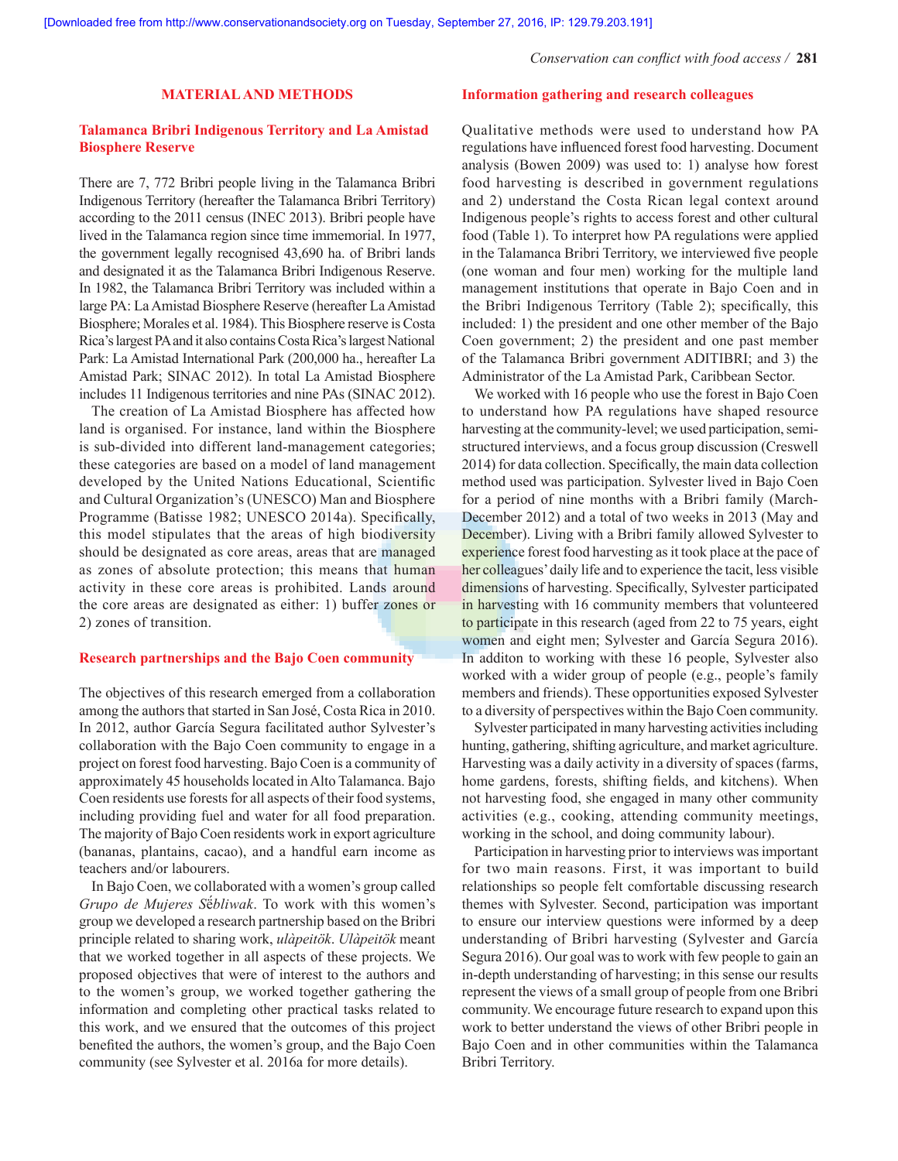*Conservation can conflict with food access /* **281**

## **MATERIAL AND METHODS**

## **Talamanca Bribri Indigenous Territory and La Amistad Biosphere Reserve**

There are 7, 772 Bribri people living in the Talamanca Bribri Indigenous Territory (hereafter the Talamanca Bribri Territory) according to the 2011 census (INEC 2013). Bribri people have lived in the Talamanca region since time immemorial. In 1977, the government legally recognised 43,690 ha. of Bribri lands and designated it as the Talamanca Bribri Indigenous Reserve. In 1982, the Talamanca Bribri Territory was included within a large PA: La Amistad Biosphere Reserve (hereafter La Amistad Biosphere; Morales et al. 1984). This Biosphere reserve is Costa Rica's largest PA and it also contains Costa Rica's largest National Park: La Amistad International Park (200,000 ha., hereafter La Amistad Park; SINAC 2012). In total La Amistad Biosphere includes 11 Indigenous territories and nine PAs (SINAC 2012).

The creation of La Amistad Biosphere has affected how land is organised. For instance, land within the Biosphere is sub-divided into different land-management categories; these categories are based on a model of land management developed by the United Nations Educational, Scientific and Cultural Organization's (UNESCO) Man and Biosphere Programme (Batisse 1982; UNESCO 2014a). Specifically, this model stipulates that the areas of high biodiversity should be designated as core areas, areas that are managed as zones of absolute protection; this means that human activity in these core areas is prohibited. Lands around the core areas are designated as either: 1) buffer zones or 2) zones of transition.

## **Research partnerships and the Bajo Coen community**

The objectives of this research emerged from a collaboration among the authors that started in San José, Costa Rica in 2010. In 2012, author García Segura facilitated author Sylvester's collaboration with the Bajo Coen community to engage in a project on forest food harvesting. Bajo Coen is a community of approximately 45 households located in Alto Talamanca. Bajo Coen residents use forests for all aspects of their food systems, including providing fuel and water for all food preparation. The majority of Bajo Coen residents work in export agriculture (bananas, plantains, cacao), and a handful earn income as teachers and/or labourers.

In Bajo Coen, we collaborated with a women's group called *Grupo de Mujeres S*ë́*bliwak*. To work with this women's group we developed a research partnership based on the Bribri principle related to sharing work, *ulàpeitök*. *Ulàpeitök* meant that we worked together in all aspects of these projects. We proposed objectives that were of interest to the authors and to the women's group, we worked together gathering the information and completing other practical tasks related to this work, and we ensured that the outcomes of this project benefited the authors, the women's group, and the Bajo Coen community (see Sylvester et al. 2016a for more details).

## **Information gathering and research colleagues**

Qualitative methods were used to understand how PA regulations have influenced forest food harvesting. Document analysis (Bowen 2009) was used to: 1) analyse how forest food harvesting is described in government regulations and 2) understand the Costa Rican legal context around Indigenous people's rights to access forest and other cultural food (Table 1). To interpret how PA regulations were applied in the Talamanca Bribri Territory, we interviewed five people (one woman and four men) working for the multiple land management institutions that operate in Bajo Coen and in the Bribri Indigenous Territory (Table 2); specifically, this included: 1) the president and one other member of the Bajo Coen government; 2) the president and one past member of the Talamanca Bribri government ADITIBRI; and 3) the Administrator of the La Amistad Park, Caribbean Sector.

We worked with 16 people who use the forest in Bajo Coen to understand how PA regulations have shaped resource harvesting at the community-level; we used participation, semistructured interviews, and a focus group discussion (Creswell 2014) for data collection. Specifically, the main data collection method used was participation. Sylvester lived in Bajo Coen for a period of nine months with a Bribri family (March-December 2012) and a total of two weeks in 2013 (May and December). Living with a Bribri family allowed Sylvester to experience forest food harvesting as it took place at the pace of her colleagues' daily life and to experience the tacit, less visible dimensions of harvesting. Specifically, Sylvester participated in harvesting with 16 community members that volunteered to participate in this research (aged from 22 to 75 years, eight women and eight men; Sylvester and García Segura 2016). In additon to working with these 16 people, Sylvester also worked with a wider group of people (e.g., people's family members and friends). These opportunities exposed Sylvester to a diversity of perspectives within the Bajo Coen community.

Sylvester participated in many harvesting activities including hunting, gathering, shifting agriculture, and market agriculture. Harvesting was a daily activity in a diversity of spaces (farms, home gardens, forests, shifting fields, and kitchens). When not harvesting food, she engaged in many other community activities (e.g., cooking, attending community meetings, working in the school, and doing community labour).

Participation in harvesting prior to interviews was important for two main reasons. First, it was important to build relationships so people felt comfortable discussing research themes with Sylvester. Second, participation was important to ensure our interview questions were informed by a deep understanding of Bribri harvesting (Sylvester and García Segura 2016). Our goal was to work with few people to gain an in-depth understanding of harvesting; in this sense our results represent the views of a small group of people from one Bribri community. We encourage future research to expand upon this work to better understand the views of other Bribri people in Bajo Coen and in other communities within the Talamanca Bribri Territory.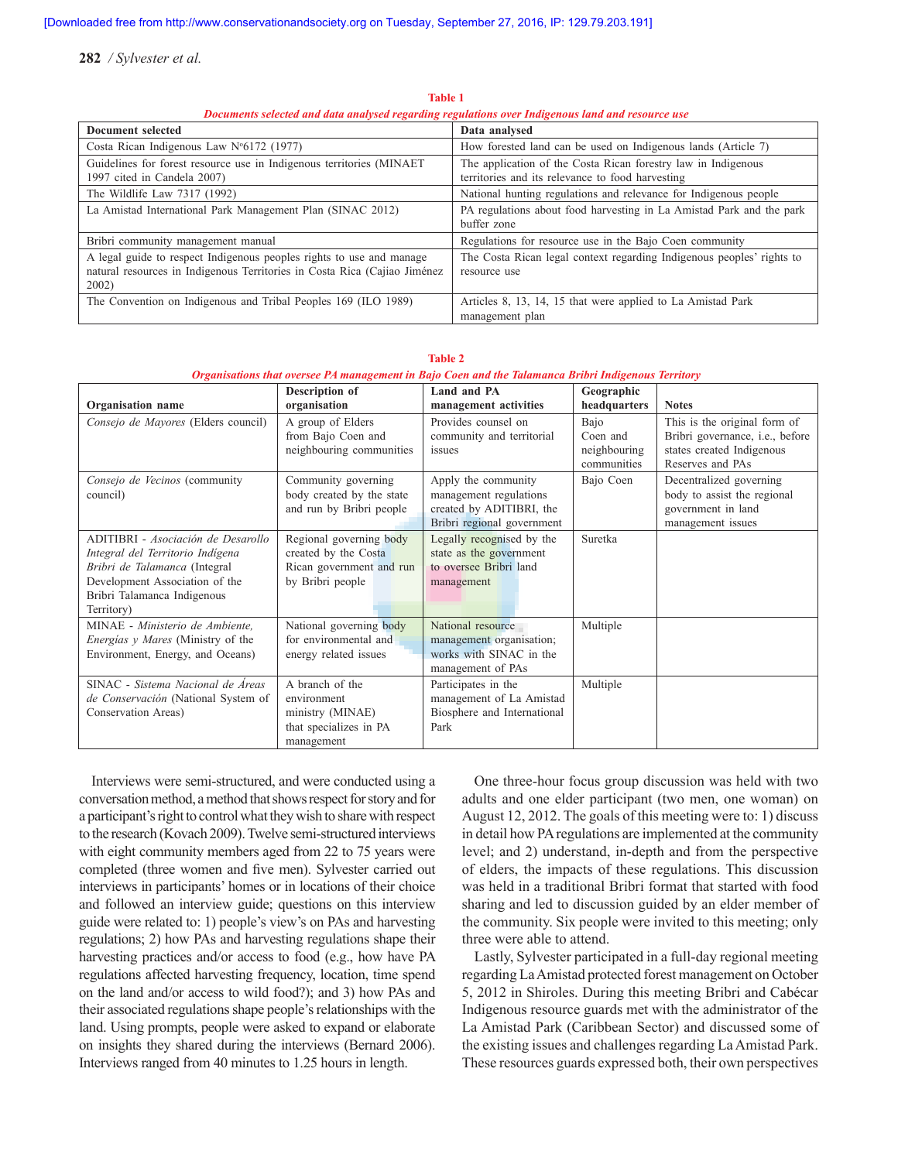| в осинство эсесетси ини инии инигроси гедигинд тедигиното отст знанденово ниги ини геоовгес вос                                                            |                                                                                                                   |  |  |  |
|------------------------------------------------------------------------------------------------------------------------------------------------------------|-------------------------------------------------------------------------------------------------------------------|--|--|--|
| Document selected                                                                                                                                          | Data analysed                                                                                                     |  |  |  |
| Costa Rican Indigenous Law $N^{\circ}6172$ (1977)                                                                                                          | How forested land can be used on Indigenous lands (Article 7)                                                     |  |  |  |
| Guidelines for forest resource use in Indigenous territories (MINAET<br>1997 cited in Candela 2007)                                                        | The application of the Costa Rican forestry law in Indigenous<br>territories and its relevance to food harvesting |  |  |  |
|                                                                                                                                                            |                                                                                                                   |  |  |  |
| The Wildlife Law 7317 (1992)                                                                                                                               | National hunting regulations and relevance for Indigenous people                                                  |  |  |  |
| La Amistad International Park Management Plan (SINAC 2012)                                                                                                 | PA regulations about food harvesting in La Amistad Park and the park<br>buffer zone                               |  |  |  |
| Bribri community management manual                                                                                                                         | Regulations for resource use in the Bajo Coen community                                                           |  |  |  |
| A legal guide to respect Indigenous peoples rights to use and manage<br>natural resources in Indigenous Territories in Costa Rica (Cajiao Jiménez<br>2002) | The Costa Rican legal context regarding Indigenous peoples' rights to<br>resource use                             |  |  |  |
| The Convention on Indigenous and Tribal Peoples 169 (ILO 1989)                                                                                             | Articles 8, 13, 14, 15 that were applied to La Amistad Park<br>management plan                                    |  |  |  |

**Table 1** *Documents selected and data analysed regarding regulations over Indigenous land and resource use*

| Organisation name                                                                                                                                                                      | Description of<br>organisation                                                                  | Land and PA<br>management activities                                                                    | Geographic<br>headquarters                      | <b>Notes</b>                                                                                                             |
|----------------------------------------------------------------------------------------------------------------------------------------------------------------------------------------|-------------------------------------------------------------------------------------------------|---------------------------------------------------------------------------------------------------------|-------------------------------------------------|--------------------------------------------------------------------------------------------------------------------------|
| Consejo de Mayores (Elders council)                                                                                                                                                    | A group of Elders<br>from Bajo Coen and<br>neighbouring communities                             | Provides counsel on<br>community and territorial<br>issues                                              | Bajo<br>Coen and<br>neighbouring<br>communities | This is the original form of<br>Bribri governance, <i>i.e.</i> , before<br>states created Indigenous<br>Reserves and PAs |
| Consejo de Vecinos (community<br>council)                                                                                                                                              | Community governing<br>body created by the state<br>and run by Bribri people                    | Apply the community<br>management regulations<br>created by ADITIBRI, the<br>Bribri regional government | Bajo Coen                                       | Decentralized governing<br>body to assist the regional<br>government in land<br>management issues                        |
| ADITIBRI - Asociación de Desarollo<br>Integral del Territorio Indígena<br>Bribri de Talamanca (Integral<br>Development Association of the<br>Bribri Talamanca Indigenous<br>Territory) | Regional governing body<br>created by the Costa<br>Rican government and run<br>by Bribri people | Legally recognised by the<br>state as the government<br>to oversee Bribri land<br>management            | Suretka                                         |                                                                                                                          |
| MINAE - Ministerio de Ambiente,<br><i>Energias y Mares</i> (Ministry of the<br>Environment, Energy, and Oceans)                                                                        | National governing body<br>for environmental and<br>energy related issues                       | National resource<br>management organisation;<br>works with SINAC in the<br>management of PAs           | Multiple                                        |                                                                                                                          |
| SINAC - Sistema Nacional de Áreas<br>de Conservación (National System of<br>Conservation Areas)                                                                                        | A branch of the<br>environment<br>ministry (MINAE)<br>that specializes in PA<br>management      | Participates in the<br>management of La Amistad<br>Biosphere and International<br>Park                  | Multiple                                        |                                                                                                                          |

**Table 2**

#### *Organisations that oversee PA management in Bajo Coen and the Talamanca Bribri Indigenous Territory*

Interviews were semi-structured, and were conducted using a conversation method, a method that shows respect for story and for a participant's right to control what they wish to share with respect to the research (Kovach 2009). Twelve semi-structured interviews with eight community members aged from 22 to 75 years were completed (three women and five men). Sylvester carried out interviews in participants' homes or in locations of their choice and followed an interview guide; questions on this interview guide were related to: 1) people's view's on PAs and harvesting regulations; 2) how PAs and harvesting regulations shape their harvesting practices and/or access to food (e.g., how have PA regulations affected harvesting frequency, location, time spend on the land and/or access to wild food?); and 3) how PAs and their associated regulations shape people's relationships with the land. Using prompts, people were asked to expand or elaborate on insights they shared during the interviews (Bernard 2006). Interviews ranged from 40 minutes to 1.25 hours in length.

One three-hour focus group discussion was held with two adults and one elder participant (two men, one woman) on August 12, 2012. The goals of this meeting were to: 1) discuss in detail how PA regulations are implemented at the community level; and 2) understand, in-depth and from the perspective of elders, the impacts of these regulations. This discussion was held in a traditional Bribri format that started with food sharing and led to discussion guided by an elder member of the community. Six people were invited to this meeting; only three were able to attend.

Lastly, Sylvester participated in a full-day regional meeting regarding La Amistad protected forest management on October 5, 2012 in Shiroles. During this meeting Bribri and Cabécar Indigenous resource guards met with the administrator of the La Amistad Park (Caribbean Sector) and discussed some of the existing issues and challenges regarding La Amistad Park. These resources guards expressed both, their own perspectives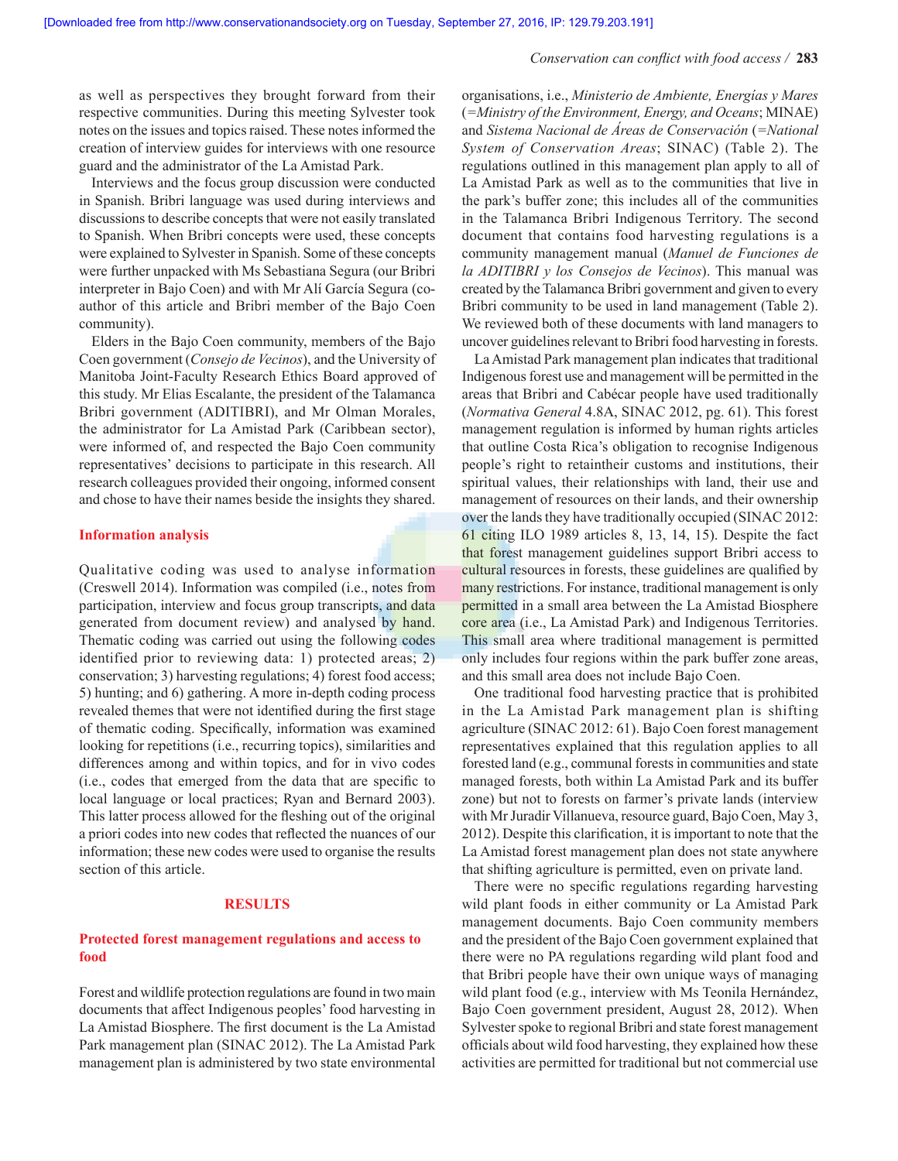#### *Conservation can conflict with food access /* **283**

as well as perspectives they brought forward from their respective communities. During this meeting Sylvester took notes on the issues and topics raised. These notes informed the creation of interview guides for interviews with one resource guard and the administrator of the La Amistad Park.

Interviews and the focus group discussion were conducted in Spanish. Bribri language was used during interviews and discussions to describe concepts that were not easily translated to Spanish. When Bribri concepts were used, these concepts were explained to Sylvester in Spanish. Some of these concepts were further unpacked with Ms Sebastiana Segura (our Bribri interpreter in Bajo Coen) and with Mr Alí García Segura (coauthor of this article and Bribri member of the Bajo Coen community).

Elders in the Bajo Coen community, members of the Bajo Coen government (*Consejo de Vecinos*), and the University of Manitoba Joint-Faculty Research Ethics Board approved of this study. Mr Elias Escalante, the president of the Talamanca Bribri government (ADITIBRI), and Mr Olman Morales, the administrator for La Amistad Park (Caribbean sector), were informed of, and respected the Bajo Coen community representatives' decisions to participate in this research. All research colleagues provided their ongoing, informed consent and chose to have their names beside the insights they shared.

### **Information analysis**

Qualitative coding was used to analyse information (Creswell 2014). Information was compiled (i.e., notes from participation, interview and focus group transcripts, and data generated from document review) and analysed by hand. Thematic coding was carried out using the following codes identified prior to reviewing data: 1) protected areas; 2) conservation; 3) harvesting regulations; 4) forest food access; 5) hunting; and 6) gathering. A more in-depth coding process revealed themes that were not identified during the first stage of thematic coding. Specifically, information was examined looking for repetitions (i.e., recurring topics), similarities and differences among and within topics, and for in vivo codes (i.e., codes that emerged from the data that are specific to local language or local practices; Ryan and Bernard 2003). This latter process allowed for the fleshing out of the original a priori codes into new codes that reflected the nuances of our information; these new codes were used to organise the results section of this article.

#### **RESULTS**

## **Protected forest management regulations and access to food**

Forest and wildlife protection regulations are found in two main documents that affect Indigenous peoples' food harvesting in La Amistad Biosphere. The first document is the La Amistad Park management plan (SINAC 2012). The La Amistad Park management plan is administered by two state environmental organisations, i.e., *Ministerio de Ambiente, Energías y Mares* (*=Ministry of the Environment, Energy, and Oceans*; MINAE) and *Sistema Nacional de Áreas de Conservación* (*=National System of Conservation Areas*; SINAC) (Table 2). The regulations outlined in this management plan apply to all of La Amistad Park as well as to the communities that live in the park's buffer zone; this includes all of the communities in the Talamanca Bribri Indigenous Territory. The second document that contains food harvesting regulations is a community management manual (*Manuel de Funciones de la ADITIBRI y los Consejos de Vecinos*). This manual was created by the Talamanca Bribri government and given to every Bribri community to be used in land management (Table 2). We reviewed both of these documents with land managers to uncover guidelines relevant to Bribri food harvesting in forests.

La Amistad Park management plan indicates that traditional Indigenous forest use and management will be permitted in the areas that Bribri and Cabécar people have used traditionally (*Normativa General* 4.8A, SINAC 2012, pg. 61). This forest management regulation is informed by human rights articles that outline Costa Rica's obligation to recognise Indigenous people's right to retaintheir customs and institutions, their spiritual values, their relationships with land, their use and management of resources on their lands, and their ownership over the lands they have traditionally occupied (SINAC 2012: 61 citing ILO 1989 articles 8, 13, 14, 15). Despite the fact that forest management guidelines support Bribri access to cultural resources in forests, these guidelines are qualified by many restrictions. For instance, traditional management is only permitted in a small area between the La Amistad Biosphere core area (i.e., La Amistad Park) and Indigenous Territories. This small area where traditional management is permitted only includes four regions within the park buffer zone areas, and this small area does not include Bajo Coen.

One traditional food harvesting practice that is prohibited in the La Amistad Park management plan is shifting agriculture (SINAC 2012: 61). Bajo Coen forest management representatives explained that this regulation applies to all forested land (e.g., communal forests in communities and state managed forests, both within La Amistad Park and its buffer zone) but not to forests on farmer's private lands (interview with Mr Juradir Villanueva, resource guard, Bajo Coen, May 3, 2012). Despite this clarification, it is important to note that the La Amistad forest management plan does not state anywhere that shifting agriculture is permitted, even on private land.

There were no specific regulations regarding harvesting wild plant foods in either community or La Amistad Park management documents. Bajo Coen community members and the president of the Bajo Coen government explained that there were no PA regulations regarding wild plant food and that Bribri people have their own unique ways of managing wild plant food (e.g., interview with Ms Teonila Hernández, Bajo Coen government president, August 28, 2012). When Sylvester spoke to regional Bribri and state forest management officials about wild food harvesting, they explained how these activities are permitted for traditional but not commercial use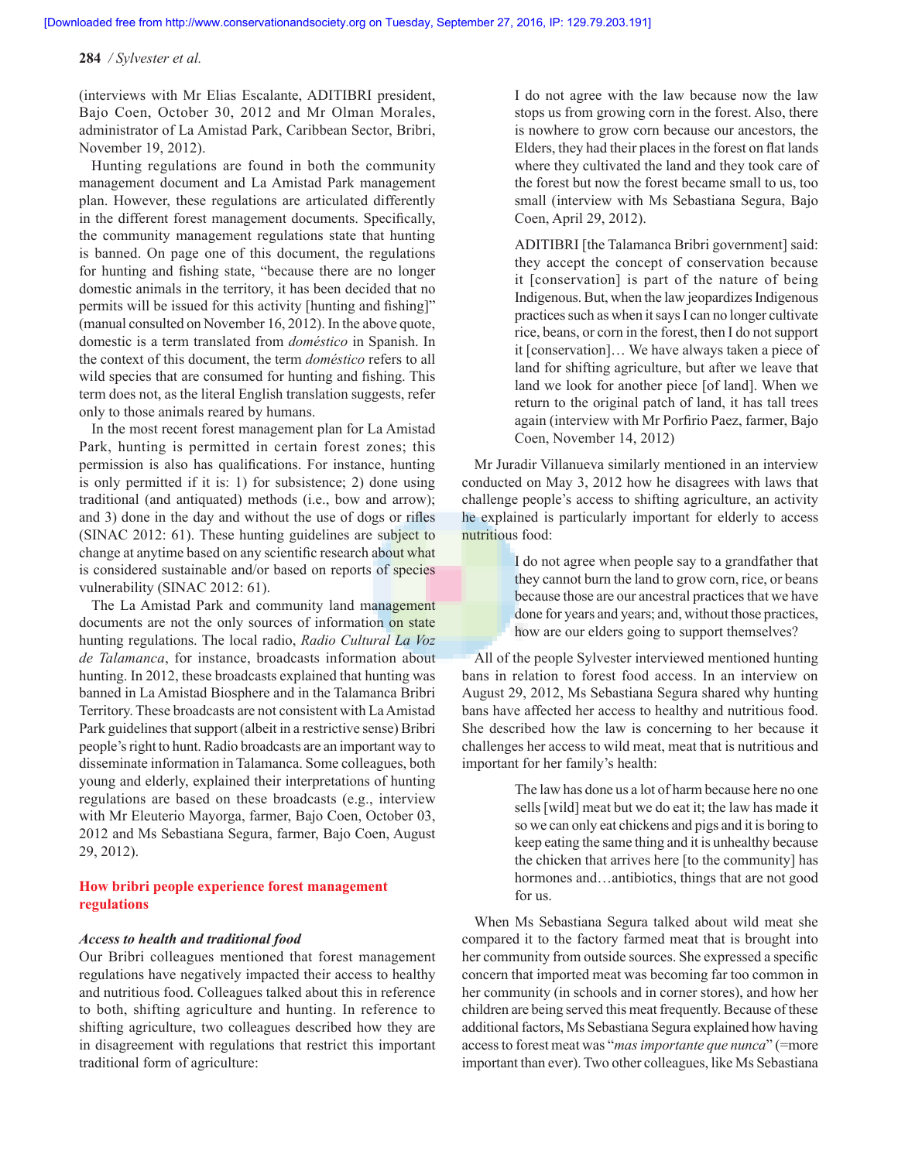(interviews with Mr Elias Escalante, ADITIBRI president, Bajo Coen, October 30, 2012 and Mr Olman Morales, administrator of La Amistad Park, Caribbean Sector, Bribri, November 19, 2012).

Hunting regulations are found in both the community management document and La Amistad Park management plan. However, these regulations are articulated differently in the different forest management documents. Specifically, the community management regulations state that hunting is banned. On page one of this document, the regulations for hunting and fishing state, "because there are no longer domestic animals in the territory, it has been decided that no permits will be issued for this activity [hunting and fishing]" (manual consulted on November 16, 2012). In the above quote, domestic is a term translated from *doméstico* in Spanish. In the context of this document, the term *doméstico* refers to all wild species that are consumed for hunting and fishing. This term does not, as the literal English translation suggests, refer only to those animals reared by humans.

In the most recent forest management plan for La Amistad Park, hunting is permitted in certain forest zones; this permission is also has qualifications. For instance, hunting is only permitted if it is: 1) for subsistence; 2) done using traditional (and antiquated) methods (i.e., bow and arrow); and 3) done in the day and without the use of dogs or rifles (SINAC 2012: 61). These hunting guidelines are subject to change at anytime based on any scientific research about what is considered sustainable and/or based on reports of species vulnerability (SINAC 2012: 61).

The La Amistad Park and community land management documents are not the only sources of information on state hunting regulations. The local radio, *Radio Cultural La Voz de Talamanca*, for instance, broadcasts information about hunting. In 2012, these broadcasts explained that hunting was banned in La Amistad Biosphere and in the Talamanca Bribri Territory. These broadcasts are not consistent with La Amistad Park guidelines that support (albeit in a restrictive sense) Bribri people's right to hunt. Radio broadcasts are an important way to disseminate information in Talamanca. Some colleagues, both young and elderly, explained their interpretations of hunting regulations are based on these broadcasts (e.g., interview with Mr Eleuterio Mayorga, farmer, Bajo Coen, October 03, 2012 and Ms Sebastiana Segura, farmer, Bajo Coen, August 29, 2012).

# **How bribri people experience forest management regulations**

#### *Access to health and traditional food*

Our Bribri colleagues mentioned that forest management regulations have negatively impacted their access to healthy and nutritious food. Colleagues talked about this in reference to both, shifting agriculture and hunting. In reference to shifting agriculture, two colleagues described how they are in disagreement with regulations that restrict this important traditional form of agriculture:

 I do not agree with the law because now the law stops us from growing corn in the forest. Also, there is nowhere to grow corn because our ancestors, the Elders, they had their places in the forest on flat lands where they cultivated the land and they took care of the forest but now the forest became small to us, too small (interview with Ms Sebastiana Segura, Bajo Coen, April 29, 2012).

ADITIBRI [the Talamanca Bribri government] said: they accept the concept of conservation because it [conservation] is part of the nature of being Indigenous. But, when the law jeopardizes Indigenous practices such as when it says I can no longer cultivate rice, beans, or corn in the forest, then I do not support it [conservation]… We have always taken a piece of land for shifting agriculture, but after we leave that land we look for another piece [of land]. When we return to the original patch of land, it has tall trees again (interview with Mr Porfirio Paez, farmer, Bajo Coen, November 14, 2012)

Mr Juradir Villanueva similarly mentioned in an interview conducted on May 3, 2012 how he disagrees with laws that challenge people's access to shifting agriculture, an activity he explained is particularly important for elderly to access nutritious food:

> I do not agree when people say to a grandfather that they cannot burn the land to grow corn, rice, or beans because those are our ancestral practices that we have done for years and years; and, without those practices, how are our elders going to support themselves?

All of the people Sylvester interviewed mentioned hunting bans in relation to forest food access. In an interview on August 29, 2012, Ms Sebastiana Segura shared why hunting bans have affected her access to healthy and nutritious food. She described how the law is concerning to her because it challenges her access to wild meat, meat that is nutritious and important for her family's health:

> The law has done us a lot of harm because here no one sells [wild] meat but we do eat it; the law has made it so we can only eat chickens and pigs and it is boring to keep eating the same thing and it is unhealthy because the chicken that arrives here [to the community] has hormones and…antibiotics, things that are not good for us.

When Ms Sebastiana Segura talked about wild meat she compared it to the factory farmed meat that is brought into her community from outside sources. She expressed a specific concern that imported meat was becoming far too common in her community (in schools and in corner stores), and how her children are being served this meat frequently. Because of these additional factors, Ms Sebastiana Segura explained how having access to forest meat was "*mas importante que nunca*" (=more important than ever). Two other colleagues, like Ms Sebastiana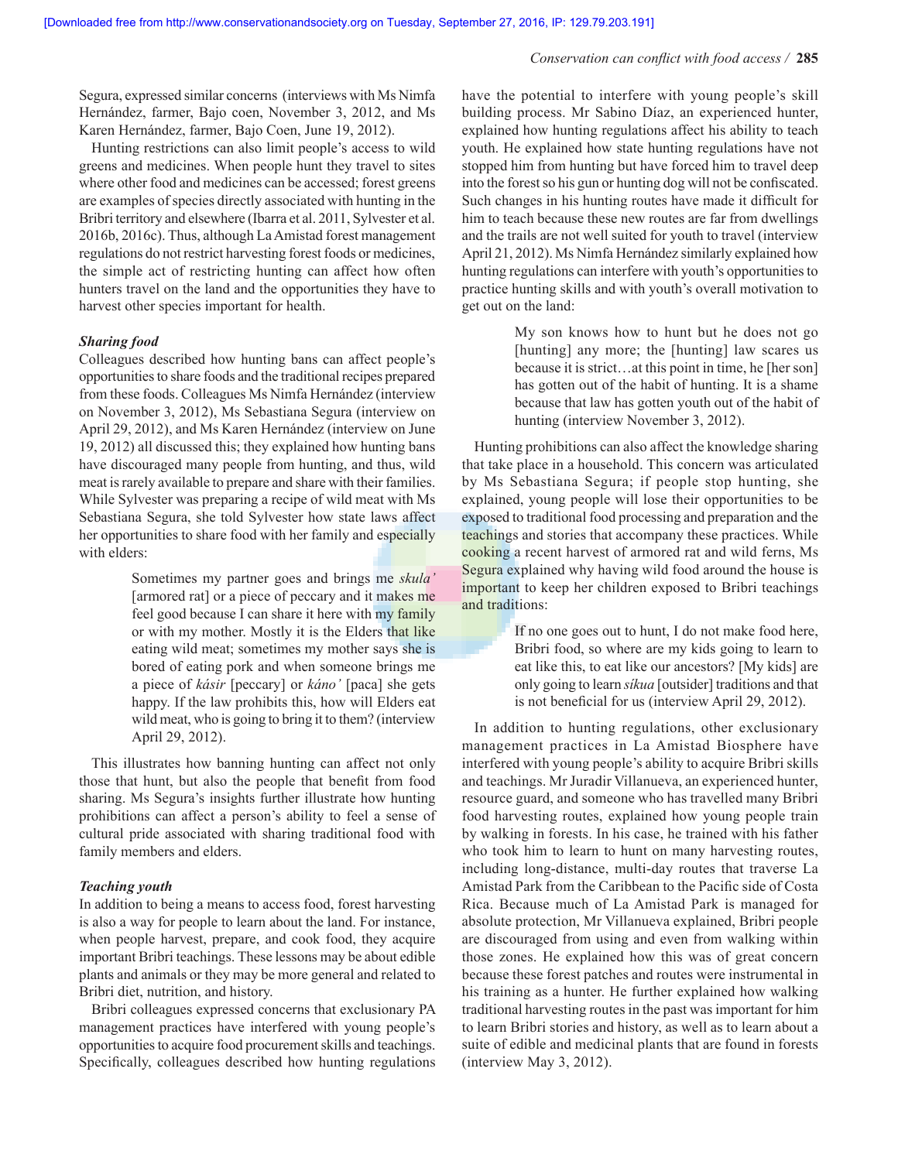Segura, expressed similar concerns (interviews with Ms Nimfa Hernández, farmer, Bajo coen, November 3, 2012, and Ms Karen Hernández, farmer, Bajo Coen, June 19, 2012).

Hunting restrictions can also limit people's access to wild greens and medicines. When people hunt they travel to sites where other food and medicines can be accessed; forest greens are examples of species directly associated with hunting in the Bribri territory and elsewhere (Ibarra et al. 2011, Sylvester et al. 2016b, 2016c). Thus, although La Amistad forest management regulations do not restrict harvesting forest foods or medicines, the simple act of restricting hunting can affect how often hunters travel on the land and the opportunities they have to harvest other species important for health.

## *Sharing food*

Colleagues described how hunting bans can affect people's opportunities to share foods and the traditional recipes prepared from these foods. Colleagues Ms Nimfa Hernández (interview on November 3, 2012), Ms Sebastiana Segura (interview on April 29, 2012), and Ms Karen Hernández (interview on June 19, 2012) all discussed this; they explained how hunting bans have discouraged many people from hunting, and thus, wild meat is rarely available to prepare and share with their families. While Sylvester was preparing a recipe of wild meat with Ms Sebastiana Segura, she told Sylvester how state laws affect her opportunities to share food with her family and especially with elders:

> Sometimes my partner goes and brings me *skula'* [armored rat] or a piece of peccary and it makes me feel good because I can share it here with my family or with my mother. Mostly it is the Elders that like eating wild meat; sometimes my mother says she is bored of eating pork and when someone brings me a piece of *kásir* [peccary] or *káno'* [paca] she gets happy. If the law prohibits this, how will Elders eat wild meat, who is going to bring it to them? (interview April 29, 2012).

This illustrates how banning hunting can affect not only those that hunt, but also the people that benefit from food sharing. Ms Segura's insights further illustrate how hunting prohibitions can affect a person's ability to feel a sense of cultural pride associated with sharing traditional food with family members and elders.

## *Teaching youth*

In addition to being a means to access food, forest harvesting is also a way for people to learn about the land. For instance, when people harvest, prepare, and cook food, they acquire important Bribri teachings. These lessons may be about edible plants and animals or they may be more general and related to Bribri diet, nutrition, and history.

Bribri colleagues expressed concerns that exclusionary PA management practices have interfered with young people's opportunities to acquire food procurement skills and teachings. Specifically, colleagues described how hunting regulations have the potential to interfere with young people's skill building process. Mr Sabino Díaz, an experienced hunter, explained how hunting regulations affect his ability to teach youth. He explained how state hunting regulations have not stopped him from hunting but have forced him to travel deep into the forest so his gun or hunting dog will not be confiscated. Such changes in his hunting routes have made it difficult for him to teach because these new routes are far from dwellings and the trails are not well suited for youth to travel (interview April 21, 2012). Ms Nimfa Hernández similarly explained how hunting regulations can interfere with youth's opportunities to practice hunting skills and with youth's overall motivation to get out on the land:

> My son knows how to hunt but he does not go [hunting] any more; the [hunting] law scares us because it is strict…at this point in time, he [her son] has gotten out of the habit of hunting. It is a shame because that law has gotten youth out of the habit of hunting (interview November 3, 2012).

Hunting prohibitions can also affect the knowledge sharing that take place in a household. This concern was articulated by Ms Sebastiana Segura; if people stop hunting, she explained, young people will lose their opportunities to be exposed to traditional food processing and preparation and the teachings and stories that accompany these practices. While cooking a recent harvest of armored rat and wild ferns, Ms Segura explained why having wild food around the house is important to keep her children exposed to Bribri teachings and traditions:

> If no one goes out to hunt, I do not make food here, Bribri food, so where are my kids going to learn to eat like this, to eat like our ancestors? [My kids] are only going to learn *síkua* [outsider] traditions and that is not beneficial for us (interview April 29, 2012).

In addition to hunting regulations, other exclusionary management practices in La Amistad Biosphere have interfered with young people's ability to acquire Bribri skills and teachings. Mr Juradir Villanueva, an experienced hunter, resource guard, and someone who has travelled many Bribri food harvesting routes, explained how young people train by walking in forests. In his case, he trained with his father who took him to learn to hunt on many harvesting routes, including long-distance, multi-day routes that traverse La Amistad Park from the Caribbean to the Pacific side of Costa Rica. Because much of La Amistad Park is managed for absolute protection, Mr Villanueva explained, Bribri people are discouraged from using and even from walking within those zones. He explained how this was of great concern because these forest patches and routes were instrumental in his training as a hunter. He further explained how walking traditional harvesting routes in the past was important for him to learn Bribri stories and history, as well as to learn about a suite of edible and medicinal plants that are found in forests (interview May 3, 2012).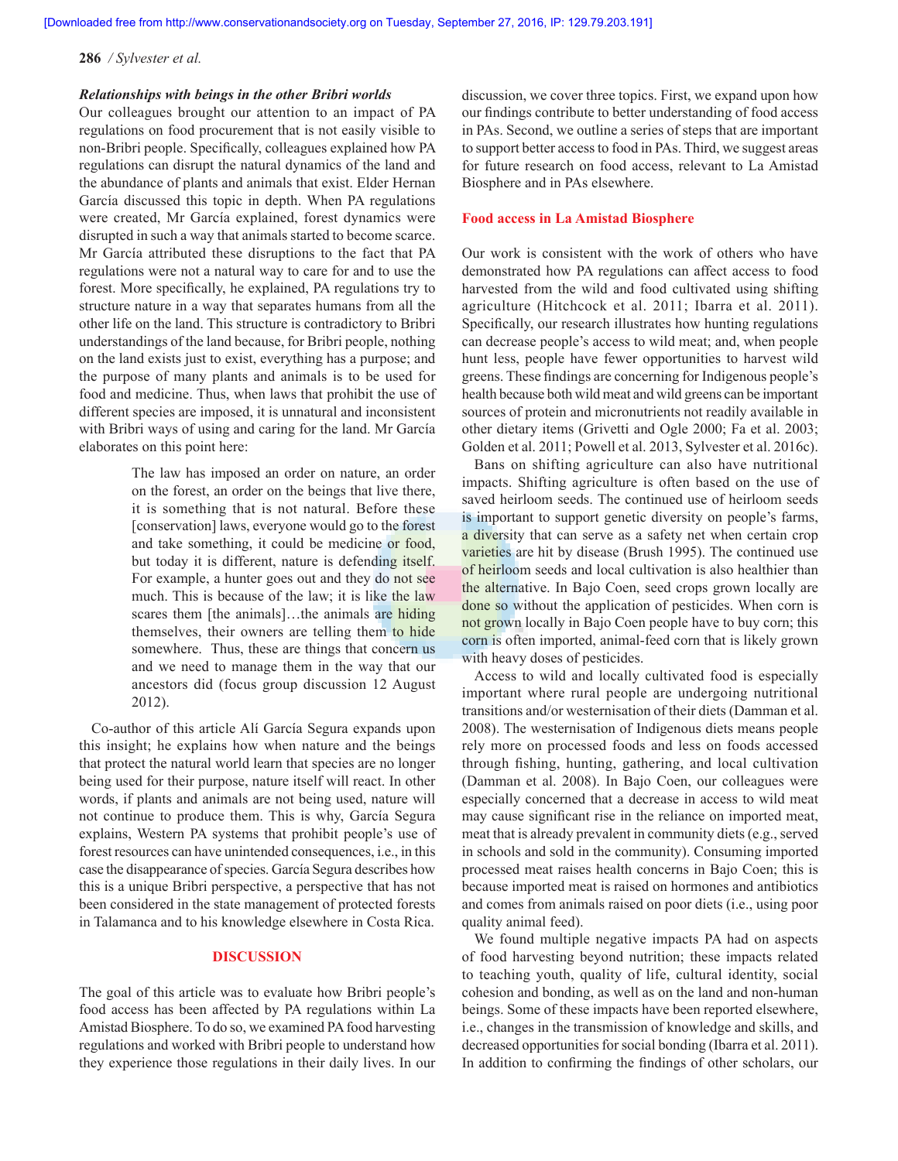**[Downloaded free from http://www.conservationandsociety.org on Tuesday, September 27, 2016, IP: 129.79.203.191]**

**286** */ Sylvester et al.*

## *Relationships with beings in the other Bribri worlds*

Our colleagues brought our attention to an impact of PA regulations on food procurement that is not easily visible to non-Bribri people. Specifically, colleagues explained how PA regulations can disrupt the natural dynamics of the land and the abundance of plants and animals that exist. Elder Hernan García discussed this topic in depth. When PA regulations were created, Mr García explained, forest dynamics were disrupted in such a way that animals started to become scarce. Mr García attributed these disruptions to the fact that PA regulations were not a natural way to care for and to use the forest. More specifically, he explained, PA regulations try to structure nature in a way that separates humans from all the other life on the land. This structure is contradictory to Bribri understandings of the land because, for Bribri people, nothing on the land exists just to exist, everything has a purpose; and the purpose of many plants and animals is to be used for food and medicine. Thus, when laws that prohibit the use of different species are imposed, it is unnatural and inconsistent with Bribri ways of using and caring for the land. Mr García elaborates on this point here:

> The law has imposed an order on nature, an order on the forest, an order on the beings that live there, it is something that is not natural. Before these [conservation] laws, everyone would go to the forest and take something, it could be medicine or food, but today it is different, nature is defending itself. For example, a hunter goes out and they do not see much. This is because of the law; it is like the law scares them [the animals]...the animals are hiding themselves, their owners are telling them to hide somewhere. Thus, these are things that concern us and we need to manage them in the way that our ancestors did (focus group discussion 12 August 2012).

Co-author of this article Alí García Segura expands upon this insight; he explains how when nature and the beings that protect the natural world learn that species are no longer being used for their purpose, nature itself will react. In other words, if plants and animals are not being used, nature will not continue to produce them. This is why, García Segura explains, Western PA systems that prohibit people's use of forest resources can have unintended consequences, i.e., in this case the disappearance of species. García Segura describes how this is a unique Bribri perspective, a perspective that has not been considered in the state management of protected forests in Talamanca and to his knowledge elsewhere in Costa Rica.

## **DISCUSSION**

The goal of this article was to evaluate how Bribri people's food access has been affected by PA regulations within La Amistad Biosphere. To do so, we examined PA food harvesting regulations and worked with Bribri people to understand how they experience those regulations in their daily lives. In our discussion, we cover three topics. First, we expand upon how our findings contribute to better understanding of food access in PAs. Second, we outline a series of steps that are important to support better access to food in PAs. Third, we suggest areas for future research on food access, relevant to La Amistad Biosphere and in PAs elsewhere.

## **Food access in La Amistad Biosphere**

Our work is consistent with the work of others who have demonstrated how PA regulations can affect access to food harvested from the wild and food cultivated using shifting agriculture (Hitchcock et al. 2011; Ibarra et al. 2011). Specifically, our research illustrates how hunting regulations can decrease people's access to wild meat; and, when people hunt less, people have fewer opportunities to harvest wild greens. These findings are concerning for Indigenous people's health because both wild meat and wild greens can be important sources of protein and micronutrients not readily available in other dietary items (Grivetti and Ogle 2000; Fa et al. 2003; Golden et al. 2011; Powell et al. 2013, Sylvester et al. 2016c).

Bans on shifting agriculture can also have nutritional impacts. Shifting agriculture is often based on the use of saved heirloom seeds. The continued use of heirloom seeds is important to support genetic diversity on people's farms, a diversity that can serve as a safety net when certain crop varieties are hit by disease (Brush 1995). The continued use of heirloom seeds and local cultivation is also healthier than the alternative. In Bajo Coen, seed crops grown locally are done so without the application of pesticides. When corn is not grown locally in Bajo Coen people have to buy corn; this corn is often imported, animal-feed corn that is likely grown with heavy doses of pesticides.

Access to wild and locally cultivated food is especially important where rural people are undergoing nutritional transitions and/or westernisation of their diets (Damman et al. 2008). The westernisation of Indigenous diets means people rely more on processed foods and less on foods accessed through fishing, hunting, gathering, and local cultivation (Damman et al. 2008). In Bajo Coen, our colleagues were especially concerned that a decrease in access to wild meat may cause significant rise in the reliance on imported meat, meat that is already prevalent in community diets (e.g., served in schools and sold in the community). Consuming imported processed meat raises health concerns in Bajo Coen; this is because imported meat is raised on hormones and antibiotics and comes from animals raised on poor diets (i.e., using poor quality animal feed).

We found multiple negative impacts PA had on aspects of food harvesting beyond nutrition; these impacts related to teaching youth, quality of life, cultural identity, social cohesion and bonding, as well as on the land and non-human beings. Some of these impacts have been reported elsewhere, i.e., changes in the transmission of knowledge and skills, and decreased opportunities for social bonding (Ibarra et al. 2011). In addition to confirming the findings of other scholars, our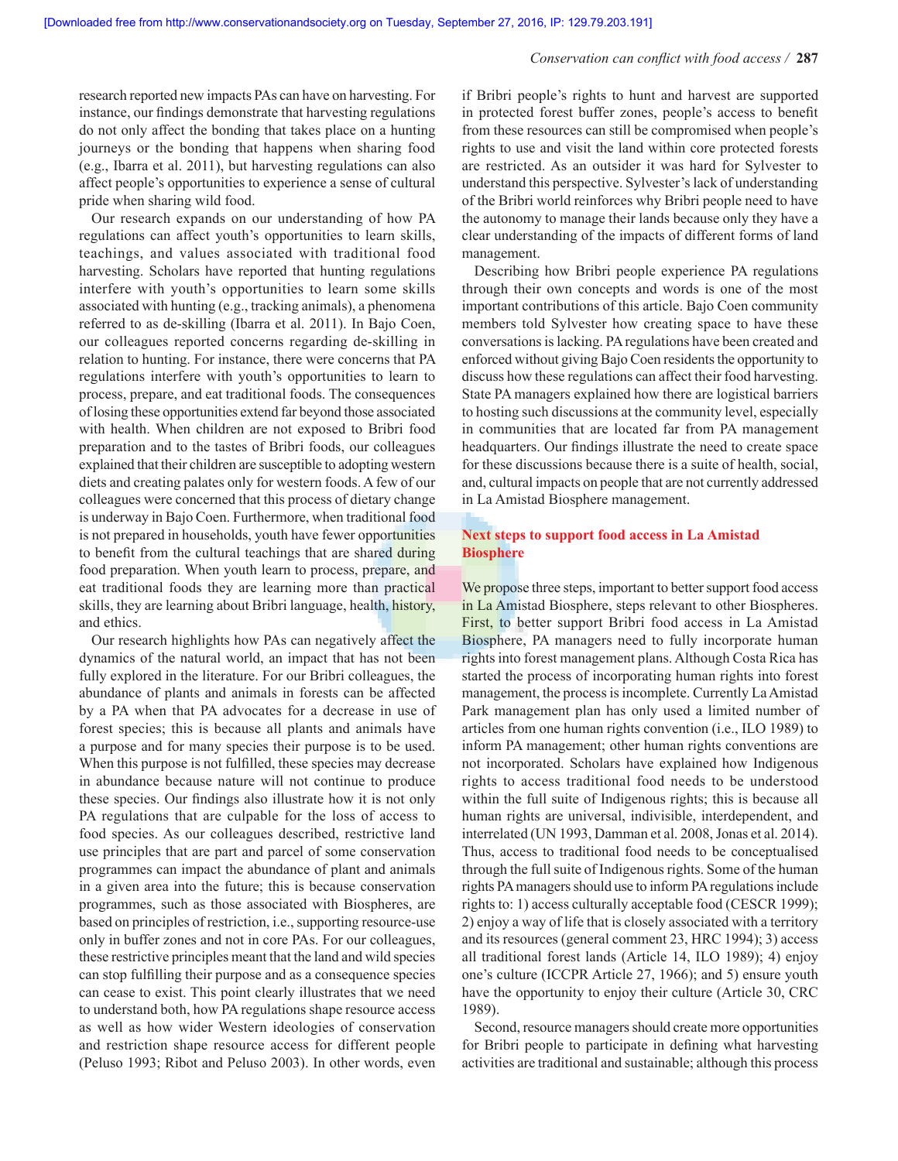#### *Conservation can conflict with food access /* **287**

research reported new impacts PAs can have on harvesting. For instance, our findings demonstrate that harvesting regulations do not only affect the bonding that takes place on a hunting journeys or the bonding that happens when sharing food (e.g., Ibarra et al. 2011), but harvesting regulations can also affect people's opportunities to experience a sense of cultural pride when sharing wild food.

Our research expands on our understanding of how PA regulations can affect youth's opportunities to learn skills, teachings, and values associated with traditional food harvesting. Scholars have reported that hunting regulations interfere with youth's opportunities to learn some skills associated with hunting (e.g., tracking animals), a phenomena referred to as de-skilling (Ibarra et al. 2011). In Bajo Coen, our colleagues reported concerns regarding de-skilling in relation to hunting. For instance, there were concerns that PA regulations interfere with youth's opportunities to learn to process, prepare, and eat traditional foods. The consequences of losing these opportunities extend far beyond those associated with health. When children are not exposed to Bribri food preparation and to the tastes of Bribri foods, our colleagues explained that their children are susceptible to adopting western diets and creating palates only for western foods. A few of our colleagues were concerned that this process of dietary change is underway in Bajo Coen. Furthermore, when traditional food is not prepared in households, youth have fewer opportunities to benefit from the cultural teachings that are shared during food preparation. When youth learn to process, prepare, and eat traditional foods they are learning more than practical skills, they are learning about Bribri language, health, history, and ethics.

Our research highlights how PAs can negatively affect the dynamics of the natural world, an impact that has not been fully explored in the literature. For our Bribri colleagues, the abundance of plants and animals in forests can be affected by a PA when that PA advocates for a decrease in use of forest species; this is because all plants and animals have a purpose and for many species their purpose is to be used. When this purpose is not fulfilled, these species may decrease in abundance because nature will not continue to produce these species. Our findings also illustrate how it is not only PA regulations that are culpable for the loss of access to food species. As our colleagues described, restrictive land use principles that are part and parcel of some conservation programmes can impact the abundance of plant and animals in a given area into the future; this is because conservation programmes, such as those associated with Biospheres, are based on principles of restriction, i.e., supporting resource-use only in buffer zones and not in core PAs. For our colleagues, these restrictive principles meant that the land and wild species can stop fulfilling their purpose and as a consequence species can cease to exist. This point clearly illustrates that we need to understand both, how PA regulations shape resource access as well as how wider Western ideologies of conservation and restriction shape resource access for different people (Peluso 1993; Ribot and Peluso 2003). In other words, even

if Bribri people's rights to hunt and harvest are supported in protected forest buffer zones, people's access to benefit from these resources can still be compromised when people's rights to use and visit the land within core protected forests are restricted. As an outsider it was hard for Sylvester to understand this perspective. Sylvester's lack of understanding of the Bribri world reinforces why Bribri people need to have the autonomy to manage their lands because only they have a clear understanding of the impacts of different forms of land management.

Describing how Bribri people experience PA regulations through their own concepts and words is one of the most important contributions of this article. Bajo Coen community members told Sylvester how creating space to have these conversations is lacking. PA regulations have been created and enforced without giving Bajo Coen residents the opportunity to discuss how these regulations can affect their food harvesting. State PA managers explained how there are logistical barriers to hosting such discussions at the community level, especially in communities that are located far from PA management headquarters. Our findings illustrate the need to create space for these discussions because there is a suite of health, social, and, cultural impacts on people that are not currently addressed in La Amistad Biosphere management.

# **Next steps to support food access in La Amistad Biosphere**

We propose three steps, important to better support food access in La Amistad Biosphere, steps relevant to other Biospheres. First, to better support Bribri food access in La Amistad Biosphere, PA managers need to fully incorporate human rights into forest management plans. Although Costa Rica has started the process of incorporating human rights into forest management, the process is incomplete. Currently La Amistad Park management plan has only used a limited number of articles from one human rights convention (i.e., ILO 1989) to inform PA management; other human rights conventions are not incorporated. Scholars have explained how Indigenous rights to access traditional food needs to be understood within the full suite of Indigenous rights; this is because all human rights are universal, indivisible, interdependent, and interrelated (UN 1993, Damman et al. 2008, Jonas et al. 2014). Thus, access to traditional food needs to be conceptualised through the full suite of Indigenous rights. Some of the human rights PA managers should use to inform PA regulations include rights to: 1) access culturally acceptable food (CESCR 1999); 2) enjoy a way of life that is closely associated with a territory and its resources (general comment 23, HRC 1994); 3) access all traditional forest lands (Article 14, ILO 1989); 4) enjoy one's culture (ICCPR Article 27, 1966); and 5) ensure youth have the opportunity to enjoy their culture (Article 30, CRC 1989).

Second, resource managers should create more opportunities for Bribri people to participate in defining what harvesting activities are traditional and sustainable; although this process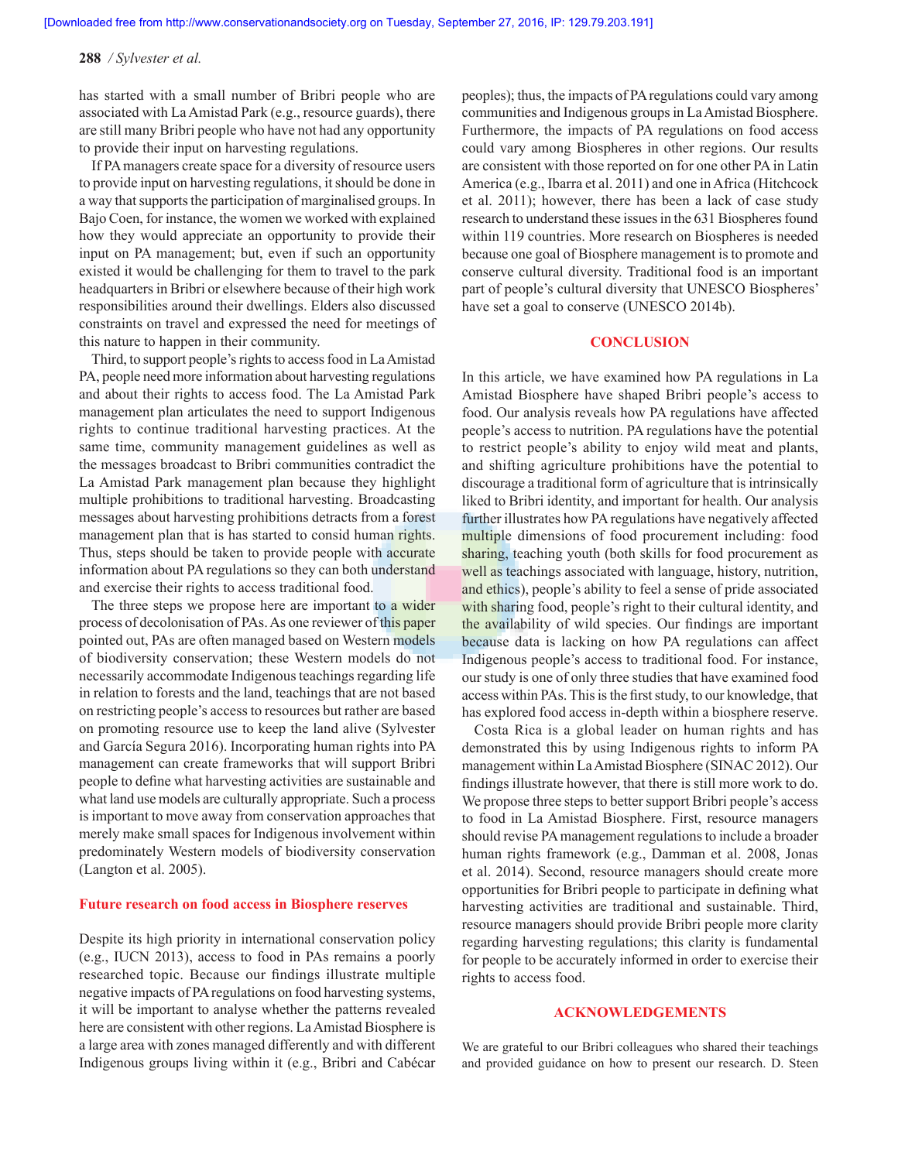has started with a small number of Bribri people who are associated with La Amistad Park (e.g., resource guards), there are still many Bribri people who have not had any opportunity to provide their input on harvesting regulations.

If PA managers create space for a diversity of resource users to provide input on harvesting regulations, it should be done in a way that supports the participation of marginalised groups. In Bajo Coen, for instance, the women we worked with explained how they would appreciate an opportunity to provide their input on PA management; but, even if such an opportunity existed it would be challenging for them to travel to the park headquarters in Bribri or elsewhere because of their high work responsibilities around their dwellings. Elders also discussed constraints on travel and expressed the need for meetings of this nature to happen in their community.

Third, to support people's rights to access food in La Amistad PA, people need more information about harvesting regulations and about their rights to access food. The La Amistad Park management plan articulates the need to support Indigenous rights to continue traditional harvesting practices. At the same time, community management guidelines as well as the messages broadcast to Bribri communities contradict the La Amistad Park management plan because they highlight multiple prohibitions to traditional harvesting. Broadcasting messages about harvesting prohibitions detracts from a forest management plan that is has started to consid human rights. Thus, steps should be taken to provide people with accurate information about PA regulations so they can both understand and exercise their rights to access traditional food.

The three steps we propose here are important to a wider process of decolonisation of PAs. As one reviewer of this paper pointed out, PAs are often managed based on Western models of biodiversity conservation; these Western models do not necessarily accommodate Indigenous teachings regarding life in relation to forests and the land, teachings that are not based on restricting people's access to resources but rather are based on promoting resource use to keep the land alive (Sylvester and García Segura 2016). Incorporating human rights into PA management can create frameworks that will support Bribri people to define what harvesting activities are sustainable and what land use models are culturally appropriate. Such a process is important to move away from conservation approaches that merely make small spaces for Indigenous involvement within predominately Western models of biodiversity conservation (Langton et al. 2005).

#### **Future research on food access in Biosphere reserves**

Despite its high priority in international conservation policy (e.g., IUCN 2013), access to food in PAs remains a poorly researched topic. Because our findings illustrate multiple negative impacts of PA regulations on food harvesting systems, it will be important to analyse whether the patterns revealed here are consistent with other regions. La Amistad Biosphere is a large area with zones managed differently and with different Indigenous groups living within it (e.g., Bribri and Cabécar peoples); thus, the impacts of PA regulations could vary among communities and Indigenous groups in La Amistad Biosphere. Furthermore, the impacts of PA regulations on food access could vary among Biospheres in other regions. Our results are consistent with those reported on for one other PA in Latin America (e.g., Ibarra et al. 2011) and one in Africa (Hitchcock et al. 2011); however, there has been a lack of case study research to understand these issues in the 631 Biospheres found within 119 countries. More research on Biospheres is needed because one goal of Biosphere management is to promote and conserve cultural diversity. Traditional food is an important part of people's cultural diversity that UNESCO Biospheres' have set a goal to conserve (UNESCO 2014b).

## **CONCLUSION**

In this article, we have examined how PA regulations in La Amistad Biosphere have shaped Bribri people's access to food. Our analysis reveals how PA regulations have affected people's access to nutrition. PA regulations have the potential to restrict people's ability to enjoy wild meat and plants, and shifting agriculture prohibitions have the potential to discourage a traditional form of agriculture that is intrinsically liked to Bribri identity, and important for health. Our analysis further illustrates how PA regulations have negatively affected multiple dimensions of food procurement including: food sharing, teaching youth (both skills for food procurement as well as teachings associated with language, history, nutrition, and ethics), people's ability to feel a sense of pride associated with sharing food, people's right to their cultural identity, and the availability of wild species. Our findings are important because data is lacking on how PA regulations can affect Indigenous people's access to traditional food. For instance, our study is one of only three studies that have examined food access within PAs. This is the first study, to our knowledge, that has explored food access in-depth within a biosphere reserve.

Costa Rica is a global leader on human rights and has demonstrated this by using Indigenous rights to inform PA management within La Amistad Biosphere (SINAC 2012). Our findings illustrate however, that there is still more work to do. We propose three steps to better support Bribri people's access to food in La Amistad Biosphere. First, resource managers should revise PA management regulations to include a broader human rights framework (e.g., Damman et al. 2008, Jonas et al. 2014). Second, resource managers should create more opportunities for Bribri people to participate in defining what harvesting activities are traditional and sustainable. Third, resource managers should provide Bribri people more clarity regarding harvesting regulations; this clarity is fundamental for people to be accurately informed in order to exercise their rights to access food.

## **ACKNOWLEDGEMENTS**

We are grateful to our Bribri colleagues who shared their teachings and provided guidance on how to present our research. D. Steen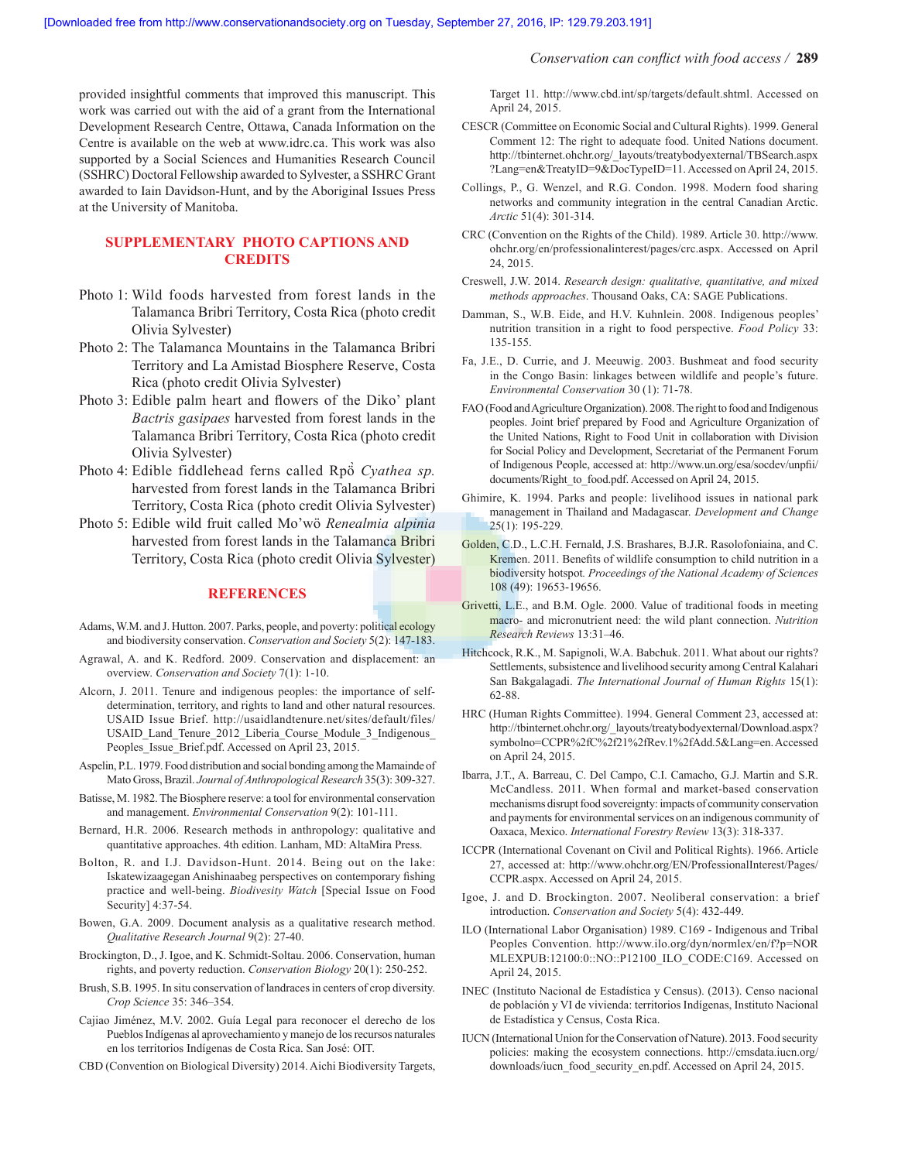provided insightful comments that improved this manuscript. This work was carried out with the aid of a grant from the International Development Research Centre, Ottawa, Canada Information on the Centre is available on the web at www.idrc.ca. This work was also supported by a Social Sciences and Humanities Research Council (SSHRC) Doctoral Fellowship awarded to Sylvester, a SSHRC Grant awarded to Iain Davidson-Hunt, and by the Aboriginal Issues Press at the University of Manitoba.

# **SUPPLEMENTARY PHOTO CAPTIONS AND CREDITS**

- Photo 1: Wild foods harvested from forest lands in the Talamanca Bribri Territory, Costa Rica (photo credit Olivia Sylvester)
- Photo 2: The Talamanca Mountains in the Talamanca Bribri Territory and La Amistad Biosphere Reserve, Costa Rica (photo credit Olivia Sylvester)
- Photo 3: Edible palm heart and flowers of the Diko' plant *Bactris gasipaes* harvested from forest lands in the Talamanca Bribri Territory, Costa Rica (photo credit Olivia Sylvester)
- Photo 4: Edible fiddlehead ferns called Rpö̀ *Cyathea sp.* harvested from forest lands in the Talamanca Bribri Territory, Costa Rica (photo credit Olivia Sylvester)
- Photo 5: Edible wild fruit called Mo'wö *Renealmia alpinia* harvested from forest lands in the Talamanca Bribri Territory, Costa Rica (photo credit Olivia Sylvester)

#### **REFERENCES**

- Adams, W.M. and J. Hutton. 2007. Parks, people, and poverty: political ecology and biodiversity conservation. *Conservation and Society* 5(2): 147-183.
- Agrawal, A. and K. Redford. 2009. Conservation and displacement: an overview. *Conservation and Society* 7(1): 1-10.
- Alcorn, J. 2011. Tenure and indigenous peoples: the importance of selfdetermination, territory, and rights to land and other natural resources. USAID Issue Brief. http://usaidlandtenure.net/sites/default/files/ USAID\_Land\_Tenure\_2012\_Liberia\_Course\_Module\_3\_Indigenous\_ Peoples\_Issue\_Brief.pdf. Accessed on April 23, 2015.
- Aspelin, P.L. 1979. Food distribution and social bonding among the Mamainde of Mato Gross, Brazil. *Journal of Anthropological Research* 35(3): 309-327.
- Batisse, M. 1982. The Biosphere reserve: a tool for environmental conservation and management. *Environmental Conservation* 9(2): 101-111.
- Bernard, H.R. 2006. Research methods in anthropology: qualitative and quantitative approaches. 4th edition. Lanham, MD: AltaMira Press.
- Bolton, R. and I.J. Davidson-Hunt. 2014. Being out on the lake: Iskatewizaagegan Anishinaabeg perspectives on contemporary fishing practice and well-being. *Biodivesity Watch* [Special Issue on Food Security] 4:37-54.
- Bowen, G.A. 2009. Document analysis as a qualitative research method. *Qualitative Research Journal* 9(2): 27-40.
- Brockington, D., J. Igoe, and K. Schmidt-Soltau. 2006. Conservation, human rights, and poverty reduction. *Conservation Biology* 20(1): 250-252.
- Brush, S.B. 1995. In situ conservation of landraces in centers of crop diversity. *Crop Science* 35: 346–354.
- Cajiao Jiménez, M.V. 2002. Guía Legal para reconocer el derecho de los Pueblos Indígenas al aprovechamiento y manejo de los recursos naturales en los territorios Indígenas de Costa Rica. San José: OIT.
- CBD (Convention on Biological Diversity) 2014. Aichi Biodiversity Targets,

Target 11. http://www.cbd.int/sp/targets/default.shtml. Accessed on April 24, 2015.

- CESCR (Committee on Economic Social and Cultural Rights). 1999. General Comment 12: The right to adequate food. United Nations document. http://tbinternet.ohchr.org/\_layouts/treatybodyexternal/TBSearch.aspx ?Lang=en&TreatyID=9&DocTypeID=11. Accessed on April 24, 2015.
- Collings, P., G. Wenzel, and R.G. Condon. 1998. Modern food sharing networks and community integration in the central Canadian Arctic. *Arctic* 51(4): 301-314.
- CRC (Convention on the Rights of the Child). 1989. Article 30. http://www. ohchr.org/en/professionalinterest/pages/crc.aspx. Accessed on April 24, 2015.
- Creswell, J.W. 2014. *Research design: qualitative, quantitative, and mixed methods approaches*. Thousand Oaks, CA: SAGE Publications.
- Damman, S., W.B. Eide, and H.V. Kuhnlein. 2008. Indigenous peoples' nutrition transition in a right to food perspective. *Food Policy* 33: 135-155.
- Fa, J.E., D. Currie, and J. Meeuwig. 2003. Bushmeat and food security in the Congo Basin: linkages between wildlife and people's future. *Environmental Conservation* 30 (1): 71-78.
- FAO (Food and Agriculture Organization). 2008. The right to food and Indigenous peoples. Joint brief prepared by Food and Agriculture Organization of the United Nations, Right to Food Unit in collaboration with Division for Social Policy and Development, Secretariat of the Permanent Forum of Indigenous People, accessed at: http://www.un.org/esa/socdev/unpfii/ documents/Right to food.pdf. Accessed on April 24, 2015.
- Ghimire, K. 1994. Parks and people: livelihood issues in national park management in Thailand and Madagascar. *Development and Change*  25(1): 195-229.
- Golden, C.D., L.C.H. Fernald, J.S. Brashares, B.J.R. Rasolofoniaina, and C. Kremen. 2011. Benefits of wildlife consumption to child nutrition in a biodiversity hotspot*. Proceedings of the National Academy of Sciences* 108 (49): 19653-19656.
- Grivetti, L.E., and B.M. Ogle. 2000. Value of traditional foods in meeting macro- and micronutrient need: the wild plant connection. *Nutrition Research Reviews* 13:31–46.
- Hitchcock, R.K., M. Sapignoli, W.A. Babchuk. 2011. What about our rights? Settlements, subsistence and livelihood security among Central Kalahari San Bakgalagadi. *The International Journal of Human Rights* 15(1): 62-88.
- HRC (Human Rights Committee). 1994. General Comment 23, accessed at: http://tbinternet.ohchr.org/\_layouts/treatybodyexternal/Download.aspx? symbolno=CCPR%2fC%2f21%2fRev.1%2fAdd.5&Lang=en. Accessed on April 24, 2015.
- Ibarra, J.T., A. Barreau, C. Del Campo, C.I. Camacho, G.J. Martin and S.R. McCandless. 2011. When formal and market-based conservation mechanisms disrupt food sovereignty: impacts of community conservation and payments for environmental services on an indigenous community of Oaxaca, Mexico. *International Forestry Review* 13(3): 318-337.
- ICCPR (International Covenant on Civil and Political Rights). 1966. Article 27, accessed at: http://www.ohchr.org/EN/ProfessionalInterest/Pages/ CCPR.aspx. Accessed on April 24, 2015.
- Igoe, J. and D. Brockington. 2007. Neoliberal conservation: a brief introduction. *Conservation and Society* 5(4): 432-449.
- ILO (International Labor Organisation) 1989. C169 Indigenous and Tribal Peoples Convention. http://www.ilo.org/dyn/normlex/en/f?p=NOR MLEXPUB:12100:0::NO::P12100\_ILO\_CODE:C169. Accessed on April 24, 2015.
- INEC (Instituto Nacional de Estadística y Census). (2013). Censo nacional de población y VI de vivienda: territorios Indígenas, Instituto Nacional de Estadística y Census, Costa Rica.
- IUCN (International Union for the Conservation of Nature). 2013. Food security policies: making the ecosystem connections. http://cmsdata.iucn.org/ downloads/iucn\_food\_security\_en.pdf. Accessed on April 24, 2015.